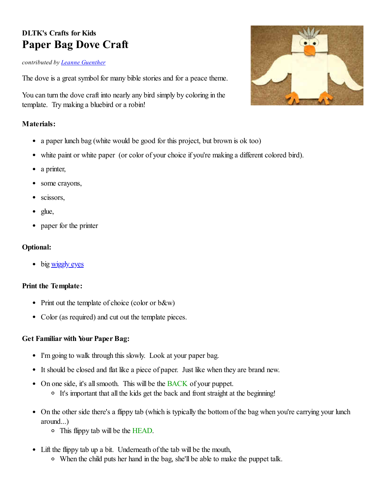# **DLTK's Crafts for Kids Paper Bag Dove Craft**

#### *contributed by Leanne [Guenther](https://www.instagram.com/dltkcrafts/)*

The dove is a great symbol for many bible stories and for a peace theme.

You can turn the dove craft into nearly any bird simply by coloring in the template. Try making a bluebird or a robin!

### **Materials:**

- a paper lunch bag (white would be good for this project, but brown is ok too)
- white paint or white paper (or color of your choice if you're making a different colored bird).
- a printer,
- some crayons,
- scissors,
- $\bullet$  glue,
- paper for the printer

### **Optional:**

• big [wiggly eyes](http://www.amazon.com/gp/product/B000XZTP9Y/ref=as_li_ss_tl?ie=UTF8&camp=1789&creative=390957&creativeASIN=B000XZTP9Y&linkCode=as2&tag=leanneeldridge)

#### **Print the Template:**

- Print out the template of choice (color or b&w)
- Color (as required) and cut out the template pieces.

## **Get Familiar with Your Paper Bag:**

- I'm going to walk through this slowly. Look at your paper bag.
- It should be closed and flat like a piece of paper. Just like when they are brand new.
- On one side, it's all smooth. This will be the BACK of your puppet.
	- It's important that all the kids get the back and front straight at the beginning!
- On the other side there's a flippy tab (which is typically the bottom of the bag when you're carrying your lunch around...)
	- This flippy tab will be the HEAD.
- Lift the flippy tab up a bit. Underneath of the tab will be the mouth,
	- When the child puts her hand in the bag, she'll be able to make the puppet talk.

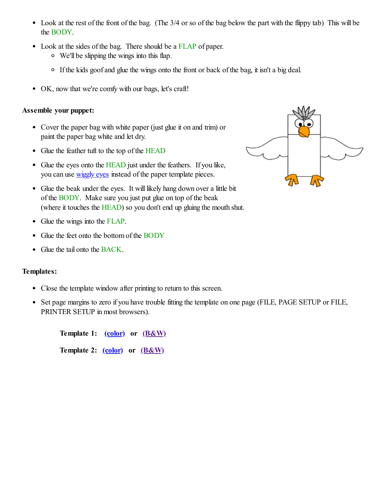- Look at the rest of the front of the bag. (The 3/4 or so of the bag below the part with the flippy tab) This will be the BODY.
- Look at the sides of the bag. There should be a FLAP of paper.
	- We'll be slipping the wings into this flap.
	- If the kids goof and glue the wings onto the front or back of the bag, it isn't a big deal.
- OK, now that we're comfy with our bags, let's craft!

### **Assemble your puppet:**

- Cover the paper bag with white paper (just glue it on and trim) or paint the paper bag white and let dry.
- Glue the feather tuft to the top of the HEAD
- Glue the eyes onto the HEAD just under the feathers. If you like, you can use [wiggly eyes](http://www.amazon.com/gp/product/B000XZTP9Y/ref=as_li_ss_tl?ie=UTF8&camp=1789&creative=390957&creativeASIN=B000XZTP9Y&linkCode=as2&tag=leanneeldridge) instead of the paper template pieces.
- Glue the beak under the eyes. It will likely hang down over a little bit of the BODY. Make sure you just put glue on top of the beak (where it touches the HEAD) so you don't end up gluing the mouth shut.
- Glue the wings into the FLAP.
- Glue the feet onto the bottom of the BODY
- Glue the tail onto the BACK.

## **Templates:**

- Close the template window after printing to return to this screen.
- Set page margins to zero if you have trouble fitting the template on one page (FILE, PAGE SETUP or FILE, PRINTER SETUP in most browsers).

**Template 1: [\(color\)](https://www.dltk-kids.com/t.asp?t=https://www.dltk-kids.com/animals/image/cbagdove1.gif) or [\(B&W\)](https://www.dltk-kids.com/t.asp?t=https://www.dltk-kids.com/animals/image/bbagdove1.gif)**

**Template 2: [\(color\)](https://www.dltk-kids.com/t.asp?t=https://www.dltk-kids.com/animals/image/cbagdove2.gif) or [\(B&W\)](https://www.dltk-kids.com/t.asp?t=https://www.dltk-kids.com/animals/image/bbagdove2.gif)**

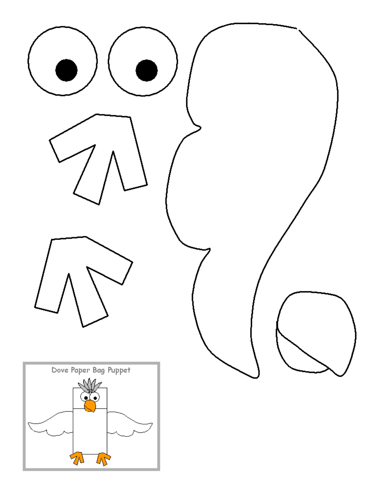